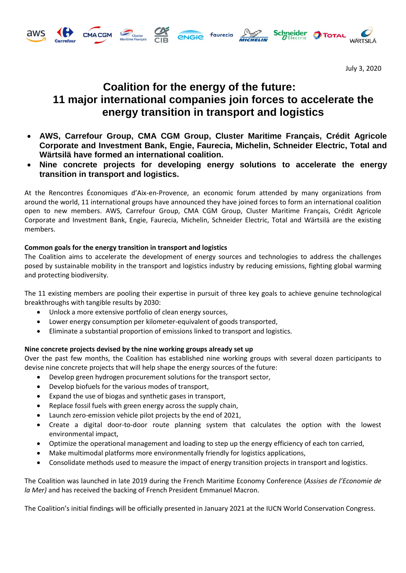



# **Coalition for the energy of the future: 11 major international companies join forces to accelerate the energy transition in transport and logistics**

**ENGIC faurecia PROP** 

**Schneider** 

- **AWS, Carrefour Group, CMA CGM Group, Cluster Maritime Français, Crédit Agricole Corporate and Investment Bank, Engie, Faurecia, Michelin, Schneider Electric, Total and Wärtsilä have formed an international coalition.**
- **Nine concrete projects for developing energy solutions to accelerate the energy transition in transport and logistics.**

At the Rencontres Économiques d'Aix-en-Provence, an economic forum attended by many organizations from around the world, 11 international groups have announced they have joined forces to form an international coalition open to new members. AWS, Carrefour Group, CMA CGM Group, Cluster Maritime Français, Crédit Agricole Corporate and Investment Bank, Engie, Faurecia, Michelin, Schneider Electric, Total and Wärtsilä are the existing members.

# **Common goals for the energy transition in transport and logistics**

The Coalition aims to accelerate the development of energy sources and technologies to address the challenges posed by sustainable mobility in the transport and logistics industry by reducing emissions, fighting global warming and protecting biodiversity.

The 11 existing members are pooling their expertise in pursuit of three key goals to achieve genuine technological breakthroughs with tangible results by 2030:

- Unlock a more extensive portfolio of clean energy sources,
- Lower energy consumption per kilometer-equivalent of goods transported,
- Eliminate a substantial proportion of emissions linked to transport and logistics.

# **Nine concrete projects devised by the nine working groups already set up**

Over the past few months, the Coalition has established nine working groups with several dozen participants to devise nine concrete projects that will help shape the energy sources of the future:

- Develop green hydrogen procurement solutions for the transport sector,
- Develop biofuels for the various modes of transport,
- Expand the use of biogas and synthetic gases in transport,
- Replace fossil fuels with green energy across the supply chain,
- Launch zero-emission vehicle pilot projects by the end of 2021,
- Create a digital door-to-door route planning system that calculates the option with the lowest environmental impact,
- Optimize the operational management and loading to step up the energy efficiency of each ton carried,
- Make multimodal platforms more environmentally friendly for logistics applications,
- Consolidate methods used to measure the impact of energy transition projects in transport and logistics.

The Coalition was launched in late 2019 during the French Maritime Economy Conference (*Assises de l'Economie de la Mer)* and has received the backing of French President Emmanuel Macron.

The Coalition's initial findings will be officially presented in January 2021 at the IUCN World Conservation Congress.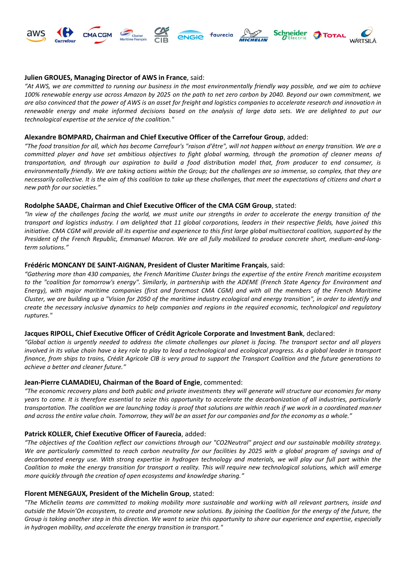

# **Julien GROUES, Managing Director of AWS in France**, said:

*"At AWS, we are committed to running our business in the most environmentally friendly way possible, and we aim to achieve 100% renewable energy use across Amazon by 2025 on the path to net zero carbon by 2040. Beyond our own commitment, we are also convinced that the power of AWS is an asset for freight and logistics companies to accelerate research and innovation in*  renewable energy and make informed decisions based on the analysis of large data sets. We are delighted to put our *technological expertise at the service of the coalition."*

## **Alexandre BOMPARD, Chairman and Chief Executive Officer of the Carrefour Group**, added:

*"The food transition for all, which has become Carrefour's "raison d'être", will not happen without an energy transition. We are a committed player and have set ambitious objectives to fight global warming, through the promotion of cleaner means of transportation, and through our aspiration to build a food distribution model that, from producer to end consumer, is environmentally friendly. We are taking actions within the Group; but the challenges are so immense, so complex, that they are necessarily collective. It is the aim of this coalition to take up these challenges, that meet the expectations of citizens and chart a new path for our societies."*

# **Rodolphe SAADE, Chairman and Chief Executive Officer of the CMA CGM Group**, stated:

*"In view of the challenges facing the world, we must unite our strengths in order to accelerate the energy transition of the transport and logistics industry. I am delighted that 11 global corporations, leaders in their respective fields, have joined this initiative. CMA CGM will provide all its expertise and experience to this first large global multisectoral coalition, supported by the President of the French Republic, Emmanuel Macron. We are all fully mobilized to produce concrete short, medium-and-longterm solutions."*

# **Frédéric MONCANY DE SAINT-AIGNAN, President of Cluster Maritime Français**, said:

*"Gathering more than 430 companies, the French Maritime Cluster brings the expertise of the entire French maritime ecosystem to the "coalition for tomorrow's energy". Similarly, in partnership with the ADEME (French State Agency for Environment and Energy), with major maritime companies (first and foremost CMA CGM) and with all the members of the French Maritime Cluster, we are building up a "Vision for 2050 of the maritime industry ecological and energy transition", in order to identify and create the necessary inclusive dynamics to help companies and regions in the required economic, technological and regulatory ruptures."*

### **Jacques RIPOLL, Chief Executive Officer of Crédit Agricole Corporate and Investment Bank**, declared:

*"Global action is urgently needed to address the climate challenges our planet is facing. The transport sector and all players involved in its value chain have a key role to play to lead a technological and ecological progress. As a global leader in transport finance, from ships to trains, Crédit Agricole CIB is very proud to support the Transport Coalition and the future generations to achieve a better and cleaner future."*

# **Jean-Pierre CLAMADIEU, Chairman of the Board of Engie**, commented:

*"The economic recovery plans and both public and private investments they will generate will structure our economies for many years to come. It is therefore essential to seize this opportunity to accelerate the decarbonization of all industries, particularly transportation. The coalition we are launching today is proof that solutions are within reach if we work in a coordinated manner and across the entire value chain. Tomorrow, they will be an asset for our companies and for the economy as a whole."*

# **Patrick KOLLER, Chief Executive Officer of Faurecia**, added:

*"The objectives of the Coalition reflect our convictions through our "CO2Neutral" project and our sustainable mobility strategy. We are particularly committed to reach carbon neutrality for our facilities by 2025 with a global program of savings and of decarbonated energy use. With strong expertise in hydrogen technology and materials, we will play our full part within the Coalition to make the energy transition for transport a reality. This will require new technological solutions, which will emerge more quickly through the creation of open ecosystems and knowledge sharing."*

# **Florent MENEGAUX, President of the Michelin Group**, stated:

*"The Michelin teams are committed to making mobility more sustainable and working with all relevant partners, inside and outside the Movin'On ecosystem, to create and promote new solutions. By joining the Coalition for the energy of the future, the Group is taking another step in this direction. We want to seize this opportunity to share our experience and expertise, especially in hydrogen mobility, and accelerate the energy transition in transport."*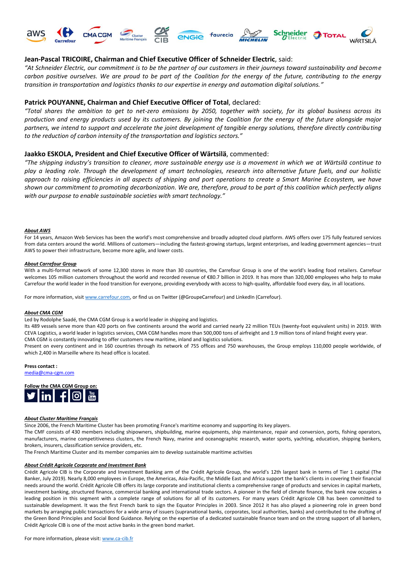









# **Jean-Pascal TRICOIRE, Chairman and Chief Executive Officer of Schneider Electric**, said:

*"At Schneider Electric, our commitment is to be the partner of our customers in their journeys toward sustainability and become carbon positive ourselves. We are proud to be part of the Coalition for the energy of the future, contributing to the energy transition in transportation and logistics thanks to our expertise in energy and automation digital solutions."*

### **Patrick POUYANNE, Chairman and Chief Executive Officer of Total**, declared:

*"Total shares the ambition to get to net-zero emissions by 2050, together with society, for its global business across its production and energy products used by its customers. By joining the Coalition for the energy of the future alongside major partners, we intend to support and accelerate the joint development of tangible energy solutions, therefore directly contributing to the reduction of carbon intensity of the transportation and logistics sectors."*

## **Jaakko ESKOLA, President and Chief Executive Officer of Wärtsilä**, commented:

*"The shipping industry's transition to cleaner, more sustainable energy use is a movement in which we at Wärtsilä continue to play a leading role. Through the development of smart technologies, research into alternative future fuels, and our holistic approach to raising efficiencies in all aspects of shipping and port operations to create a Smart Marine Ecosystem, we have shown our commitment to promoting decarbonization. We are, therefore, proud to be part of this coalition which perfectly aligns with our purpose to enable sustainable societies with smart technology."*

#### *About AWS*

For 14 years, Amazon Web Services has been the world's most comprehensive and broadly adopted cloud platform. AWS offers over 175 fully featured services from data centers around the world. Millions of customers—including the fastest-growing startups, largest enterprises, and leading government agencies—trust AWS to power their infrastructure, become more agile, and lower costs.

#### *About Carrefour Group*

With a multi-format network of some 12,300 stores in more than 30 countries, the Carrefour Group is one of the world's leading food retailers. Carrefour welcomes 105 million customers throughout the world and recorded revenue of €80.7 billion in 2019. It has more than 320,000 employees who help to make Carrefour the world leader in the food transition for everyone, providing everybody with access to high-quality, affordable food every day, in all locations.

For more information, visi[t www.carrefour.com,](http://www.carrefour.com/) or find us on Twitter (@GroupeCarrefour) and LinkedIn (Carrefour).

#### *About CMA CGM*

Led by Rodolphe Saadé, the CMA CGM Group is a world leader in shipping and logistics.

Its 489 vessels serve more than 420 ports on five continents around the world and carried nearly 22 million TEUs (twenty-foot equivalent units) in 2019. With CEVA Logistics, a world leader in logistics services, CMA CGM handles more than 500,000 tons of airfreight and 1.9 million tons of inland freight every year. CMA CGM is constantly innovating to offer customers new maritime, inland and logistics solutions.

Present on every continent and in 160 countries through its network of 755 offices and 750 warehouses, the Group employs 110,000 people worldwide, of which 2,400 in Marseille where its head office is located.

#### **Press contact :**

[media@cma-cgm.com](mailto:media@cma-cgm.com)



#### *About Cluster Maritime Français*

Since 2006, the French Maritime Cluster has been promoting France's maritime economy and supporting its key players.

The CMF consists of 430 members including shipowners, shipbuilding, marine equipments, ship maintenance, repair and conversion, ports, fishing operators, manufacturers, marine competitiveness clusters, the French Navy, marine and oceanographic research, water sports, yachting, education, shipping bankers, brokers, insurers, classification service providers, etc.

The French Maritime Cluster and its member companies aim to develop sustainable maritime activities

#### *About Crédit Agricole Corporate and Investment Bank*

Crédit Agricole CIB is the Corporate and Investment Banking arm of the Crédit Agricole Group, the world's 12th largest bank in terms of Tier 1 capital (The Banker, July 2019). Nearly 8,000 employees in Europe, the Americas, Asia-Pacific, the Middle East and Africa support the bank's clients in covering their financial needs around the world. Crédit Agricole CIB offers its large corporate and institutional clients a comprehensive range of products and services in capital markets, investment banking, structured finance, commercial banking and international trade sectors. A pioneer in the field of climate finance, the bank now occupies a leading position in this segment with a complete range of solutions for all of its customers. For many years Crédit Agricole CIB has been committed to sustainable development. It was the first French bank to sign the Equator Principles in 2003. Since 2012 it has also played a pioneering role in green bond markets by arranging public transactions for a wide array of issuers (supranational banks, corporates, local authorities, banks) and contributed to the drafting of the Green Bond Principles and Social Bond Guidance. Relying on the expertise of a dedicated sustainable finance team and on the strong support of all bankers, Crédit Agricole CIB is one of the most active banks in the green bond market.